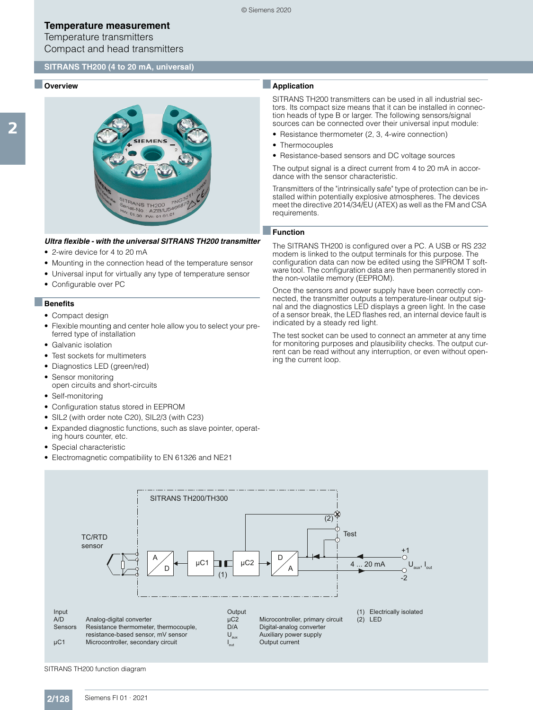Temperature transmitters Compact and head transmitters

#### **SITRANS TH200 (4 to 20 mA, universal)**

#### ■ **Overview**



#### *Ultra flexible - with the universal SITRANS TH200 transmitter*

- 2-wire device for 4 to 20 mA
- Mounting in the connection head of the temperature sensor
- Universal input for virtually any type of temperature sensor
- Configurable over PC

#### ■**Benefits**

- Compact design
- Flexible mounting and center hole allow you to select your preferred type of installation
- Galvanic isolation
- Test sockets for multimeters
- Diagnostics LED (green/red)
- Sensor monitoring
- open circuits and short-circuits
- Self-monitoring
- Configuration status stored in EEPROM
- SIL2 (with order note C20), SIL2/3 (with C23)
- Expanded diagnostic functions, such as slave pointer, operating hours counter, etc.
- Special characteristic
- Electromagnetic compatibility to EN 61326 and NE21

# ■**Application**

SITRANS TH200 transmitters can be used in all industrial sectors. Its compact size means that it can be installed in connection heads of type B or larger. The following sensors/signal sources can be connected over their universal input module:

- Resistance thermometer (2, 3, 4-wire connection)
- Thermocouples
- Resistance-based sensors and DC voltage sources

The output signal is a direct current from 4 to 20 mA in accordance with the sensor characteristic.

Transmitters of the "intrinsically safe" type of protection can be installed within potentially explosive atmospheres. The devices meet the directive 2014/34/EU (ATEX) as well as the FM and CSA requirements.

#### ■**Function**

The SITRANS TH200 is configured over a PC. A USB or RS 232 modem is linked to the output terminals for this purpose. The configuration data can now be edited using the SIPROM T software tool. The configuration data are then permanently stored in the non-volatile memory (EEPROM).

Once the sensors and power supply have been correctly connected, the transmitter outputs a temperature-linear output signal and the diagnostics LED displays a green light. In the case of a sensor break, the LED flashes red, an internal device fault is indicated by a steady red light.

The test socket can be used to connect an ammeter at any time for monitoring purposes and plausibility checks. The output current can be read without any interruption, or even without opening the current loop.



SITRANS TH200 function diagram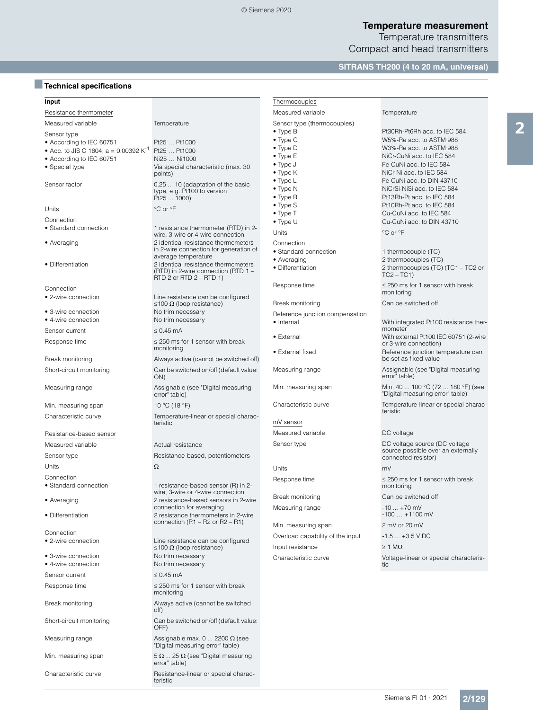2

Temperature transmitters Compact and head transmitters

# **SITRANS TH200 (4 to 20 mA, universal)**

# ■**Technical specifications**

| Input                                      |                                                                                                       | Thermocouples                                            |                                                                                                      |  |
|--------------------------------------------|-------------------------------------------------------------------------------------------------------|----------------------------------------------------------|------------------------------------------------------------------------------------------------------|--|
| Resistance thermometer                     |                                                                                                       | Measured variable                                        | Temperature                                                                                          |  |
| Measured variable                          | Temperature                                                                                           | Sensor type (thermocouples)                              |                                                                                                      |  |
| Sensor type                                |                                                                                                       | $\bullet$ Type B                                         | Pt30Rh-Pt6Rh acc. to IEC 584                                                                         |  |
| • According to IEC 60751                   | Pt25  Pt1000                                                                                          | $\bullet$ Type C                                         | W5%-Re acc. to ASTM 988                                                                              |  |
| • Acc. to JIS C 1604; $a = 0.00392 K^{-1}$ | Pt25  Pt1000                                                                                          | $\bullet$ Type D<br>$\bullet$ Type E                     | W3%-Re acc. to ASTM 988<br>NiCr-CuNi acc. to IEC 584                                                 |  |
| • According to IEC 60751                   | Ni25  Ni1000                                                                                          | $\bullet$ Type J                                         | Fe-CuNi acc. to IEC 584                                                                              |  |
| • Special type                             | Via special characteristic (max. 30<br>points)                                                        | $\bullet$ Type K                                         | NiCr-Ni acc. to IEC 584                                                                              |  |
| Sensor factor                              | 0.25  10 (adaptation of the basic<br>type, e.g. Pt100 to version<br>Pt25  1000)                       | $\bullet$ Type L<br>$\bullet$ Type N<br>$\bullet$ Type R | Fe-CuNi acc. to DIN 43710<br>NiCrSi-NiSi acc. to IEC 584<br>Pt13Rh-Pt acc. to IEC 584                |  |
|                                            |                                                                                                       | $\bullet$ Type S                                         | Pt10Rh-Pt acc. to IEC 584                                                                            |  |
| Units                                      | °C or °F                                                                                              | $\bullet$ Type T                                         | Cu-CuNi acc. to IEC 584                                                                              |  |
| Connection                                 |                                                                                                       | $\bullet$ Type U                                         | Cu-CuNi acc. to DIN 43710                                                                            |  |
| • Standard connection                      | 1 resistance thermometer (RTD) in 2-<br>wire, 3-wire or 4-wire connection                             | Units                                                    | °C or °F                                                                                             |  |
| • Averaging                                | 2 identical resistance thermometers<br>in 2-wire connection for generation of                         | Connection<br>• Standard connection                      |                                                                                                      |  |
|                                            | average temperature                                                                                   | • Averaging                                              | 1 thermocouple (TC)<br>2 thermocouples (TC)                                                          |  |
| • Differentiation                          | 2 identical resistance thermometers<br>(RTD) in 2-wire connection (RTD 1 -<br>RTD 2 or RTD 2 - RTD 1) | • Differentiation                                        | 2 thermocouples (TC) (TC1 - TC2 or<br>$TC2 - TC1$                                                    |  |
| Connection                                 |                                                                                                       | Response time                                            | $\leq$ 250 ms for 1 sensor with break                                                                |  |
| • 2-wire connection                        | Line resistance can be configured<br>≤100 Ω (loop resistance)                                         | Break monitoring                                         | monitoring<br>Can be switched off                                                                    |  |
| • 3-wire connection                        | No trim necessary                                                                                     | Reference junction compensation                          |                                                                                                      |  |
| • 4-wire connection                        | No trim necessary                                                                                     | • Internal                                               | With integrated Pt100 resistance ther-                                                               |  |
| Sensor current                             | $\leq$ 0.45 mA                                                                                        |                                                          | mometer                                                                                              |  |
| Response time                              | $\leq$ 250 ms for 1 sensor with break<br>monitoring                                                   | $\bullet$ External<br>• External fixed                   | With external Pt100 IEC 60751 (2-wire<br>or 3-wire connection)<br>Reference junction temperature can |  |
| Break monitoring                           | Always active (cannot be switched off)                                                                |                                                          | be set as fixed value                                                                                |  |
| Short-circuit monitoring                   | Can be switched on/off (default value:<br>ON)                                                         | Measuring range                                          | Assignable (see "Digital measuring<br>error" table)                                                  |  |
| Measuring range                            | Assignable (see "Digital measuring<br>error" table)                                                   | Min. measuring span                                      | Min. 40  100 °C (72  180 °F) (see<br>"Digital measuring error" table)                                |  |
| Min. measuring span                        | 10 °C (18 °F)                                                                                         | Characteristic curve                                     | Temperature-linear or special charac-<br>teristic                                                    |  |
| Characteristic curve                       | Temperature-linear or special charac-<br>teristic                                                     | mV sensor                                                |                                                                                                      |  |
| Resistance-based sensor                    |                                                                                                       | Measured variable                                        | DC voltage                                                                                           |  |
| Measured variable                          | Actual resistance                                                                                     | Sensor type                                              | DC voltage source (DC voltage<br>source possible over an externally                                  |  |
| Sensor type                                | Resistance-based, potentiometers                                                                      |                                                          | connected resistor)                                                                                  |  |
| Units                                      | Ω                                                                                                     | Units                                                    | mV                                                                                                   |  |
| Connection<br>• Standard connection        | 1 resistance-based sensor (R) in 2-                                                                   | Response time                                            | $\leq$ 250 ms for 1 sensor with break<br>monitoring                                                  |  |
| • Averaging                                | wire, 3-wire or 4-wire connection<br>2 resistance-based sensors in 2-wire                             | Break monitoring                                         | Can be switched off                                                                                  |  |
| • Differentiation                          | connection for averaging<br>2 resistance thermometers in 2-wire                                       | Measuring range                                          | $-10 + 70$ mV<br>$-100 + 1100$ mV                                                                    |  |
|                                            | connection $(R1 - R2$ or $R2 - R1)$                                                                   | Min. measuring span                                      | 2 mV or 20 mV                                                                                        |  |
| Connection                                 |                                                                                                       | Overload capability of the input                         | $-1.5+3.5$ V DC                                                                                      |  |
| • 2-wire connection                        | Line resistance can be configured<br>$\leq$ 100 Ω (loop resistance)                                   | Input resistance                                         | $\geq$ 1 M $\Omega$                                                                                  |  |
| • 3-wire connection                        | No trim necessary                                                                                     | Characteristic curve                                     | Voltage-linear or special characteris-                                                               |  |
| • 4-wire connection                        | No trim necessary                                                                                     |                                                          | tic                                                                                                  |  |
| Sensor current                             | $\leq 0.45$ mA                                                                                        |                                                          |                                                                                                      |  |
| Response time                              | $\leq$ 250 ms for 1 sensor with break                                                                 |                                                          |                                                                                                      |  |
|                                            | monitoring                                                                                            |                                                          |                                                                                                      |  |
| Break monitoring                           | Always active (cannot be switched<br>off)                                                             |                                                          |                                                                                                      |  |
| Short-circuit monitoring                   | Can be switched on/off (default value:<br>OFF)                                                        |                                                          |                                                                                                      |  |
| Measuring range                            | Assignable max. $0 \dots 2200 \Omega$ (see<br>"Digital measuring error" table)                        |                                                          |                                                                                                      |  |
| Min. measuring span                        | $5 \Omega$ 25 $\Omega$ (see "Digital measuring<br>error" table)                                       |                                                          |                                                                                                      |  |
|                                            |                                                                                                       |                                                          |                                                                                                      |  |

Characteristic curve Resistance-linear or special charac-teristic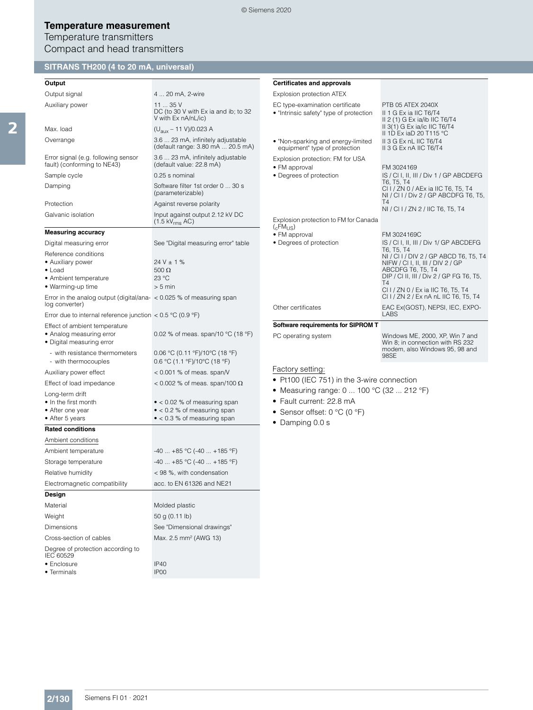Temperature transmitters Compact and head transmitters

# **SITRANS TH200 (4 to 20 mA, universal)**

# **Output**

| Output signal                                                                                             | 4  20 mA, 2-wire                                                                                                   |
|-----------------------------------------------------------------------------------------------------------|--------------------------------------------------------------------------------------------------------------------|
| Auxiliary power                                                                                           | 1135V<br>DC (to 30 V with Ex ia and ib; to 32<br>V with Ex nA/nL/ic)                                               |
| Max. load                                                                                                 | (U <sub>aux</sub> – 11 V)/0.023 A                                                                                  |
| Overrange                                                                                                 | 3.6  23 mA, infinitely adjustable<br>(default range: 3.80 mA  20.5 mA)                                             |
| Error signal (e.g. following sensor<br>fault) (conforming to NE43)                                        | 3.6  23 mA, infinitely adjustable<br>(default value: 22.8 mA)                                                      |
| Sample cycle                                                                                              | 0.25 s nominal                                                                                                     |
| Damping                                                                                                   | Software filter 1st order 0  30 s<br>(parameterizable)                                                             |
| Protection                                                                                                | Against reverse polarity                                                                                           |
| Galvanic isolation                                                                                        | Input against output 2.12 kV DC<br>$(1.5 \text{ kV}_{\text{rms}}$ AC)                                              |
| <b>Measuring accuracy</b>                                                                                 |                                                                                                                    |
| Digital measuring error                                                                                   | See "Digital measuring error" table                                                                                |
| Reference conditions<br>• Auxiliary power<br>$\bullet$ Load<br>• Ambient temperature<br>• Warming-up time | $24 V \pm 1 \%$<br>500 $\Omega$<br>23 °C<br>$> 5$ min                                                              |
| Error in the analog output (digital/ana- < 0.025 % of measuring span<br>log converter)                    |                                                                                                                    |
| Error due to internal reference junction $< 0.5$ °C (0.9 °F)                                              |                                                                                                                    |
| Effect of ambient temperature<br>• Analog measuring error<br>• Digital measuring error                    | 0.02 % of meas. span/10 °C (18 °F)                                                                                 |
| - with resistance thermometers<br>- with thermocouples                                                    | 0.06 °C (0.11 °F)/10°C (18 °F)<br>0.6 °C (1.1 °F)/10°C (18 °F)                                                     |
| Auxiliary power effect                                                                                    | $<$ 0.001 % of meas. span/V                                                                                        |
| Effect of load impedance                                                                                  | < 0.002 % of meas. span/100 $\Omega$                                                                               |
| Long-term drift<br>• In the first month<br>• After one year<br>• After 5 years                            | $\bullet$ < 0.02 % of measuring span<br>$\bullet$ < 0.2 % of measuring span<br>$\bullet$ < 0.3 % of measuring span |
| <b>Rated conditions</b>                                                                                   |                                                                                                                    |
| Ambient conditions                                                                                        |                                                                                                                    |
| Ambient temperature                                                                                       | $-40$ $+85$ °C ( $-40$ $+185$ °F)                                                                                  |
| Storage temperature                                                                                       | $-40$ $+85$ °C ( $-40$ $+185$ °F)                                                                                  |
| Relative humidity                                                                                         | < 98 %, with condensation                                                                                          |
| Electromagnetic compatibility                                                                             | acc. to EN 61326 and NE21                                                                                          |
| Design                                                                                                    |                                                                                                                    |
| Material                                                                                                  | Molded plastic                                                                                                     |
| Weight                                                                                                    | 50 g (0.11 lb)                                                                                                     |
| Dimensions                                                                                                | See "Dimensional drawings"                                                                                         |
| Cross-section of cables                                                                                   | Max. 2.5 mm <sup>2</sup> (AWG 13)                                                                                  |
| Degree of protection according to<br>IEC 60529<br>• Enclosure                                             | IP40                                                                                                               |
| • Terminals                                                                                               | IP00                                                                                                               |
|                                                                                                           |                                                                                                                    |

| <b>Certificates and approvals</b>                                            |                                                                                                                                                                                                                                                                                                                 |
|------------------------------------------------------------------------------|-----------------------------------------------------------------------------------------------------------------------------------------------------------------------------------------------------------------------------------------------------------------------------------------------------------------|
| Explosion protection ATEX                                                    |                                                                                                                                                                                                                                                                                                                 |
| EC type-examination certificate<br>• "Intrinsic safety" type of protection   | PTB 05 ATEX 2040X<br>II 1 G Ex ia IIC T6/T4<br>II 2 (1) G Ex ia/ib IIC T6/T4<br>II 3(1) G Ex ia/ic IIC T6/T4<br>II 1D Ex iaD 20 T115 °C                                                                                                                                                                         |
| . "Non-sparking and energy-limited<br>equipment" type of protection          | II 3 G Ex nL IIC T6/T4<br>II 3 G Ex nA IIC T6/T4                                                                                                                                                                                                                                                                |
| Explosion protection: FM for USA<br>• FM approval<br>• Degrees of protection | FM 3024169<br>IS / CI I, II, III / Div 1 / GP ABCDEFG<br>T6, T5, T4<br>CI I / ZN 0 / AEx ia IIC T6, T5, T4<br>NI / CI I / Div 2 / GP ABCDFG T6, T5,<br>T4<br>NI / CI I / ZN 2 / IIC T6, T5, T4                                                                                                                  |
| Explosion protection to FM for Canada<br>$(_{c}FM_{LIS})$                    |                                                                                                                                                                                                                                                                                                                 |
| • FM approval<br>• Degrees of protection                                     | FM 3024169C<br>IS / CI I, II, III / Div 1/ GP ABCDEFG<br>T6, T5, T4<br>NI / CI I / DIV 2 / GP ABCD T6, T5, T4<br>NIFW / CI I, II, III / DIV 2 / GP<br>ABCDFG T6, T5, T4<br>DIP / CI II, III / Div 2 / GP FG T6, T5,<br><b>T4</b><br>CI I / ZN 0 / Ex ia IIC T6, T5, T4<br>CI I / ZN 2 / Ex nA nL IIC T6, T5, T4 |
| Other certificates                                                           | EAC Ex(GOST), NEPSI, IEC, EXPO-<br><b>LABS</b>                                                                                                                                                                                                                                                                  |
| Software requirements for SIPROM T                                           |                                                                                                                                                                                                                                                                                                                 |
| PC operating system                                                          | Windows ME, 2000, XP, Win 7 and<br>Win 8; in connection with RS 232<br>modem, also Windows 95, 98 and<br>98SE                                                                                                                                                                                                   |

### Factory setting:

- Pt100 (IEC 751) in the 3-wire connection
- Measuring range: 0 ... 100 °C (32 ... 212 °F)
- Fault current: 22.8 mA
- Sensor offset: 0 °C (0 °F)
- Damping 0.0 s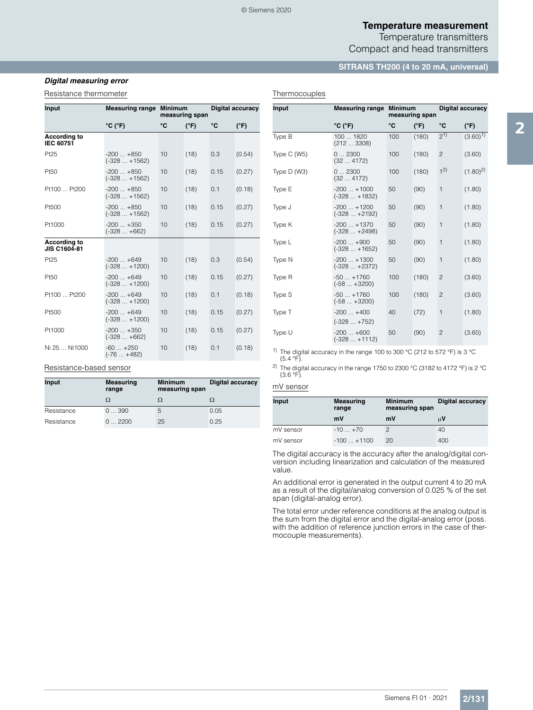Temperature transmitters Compact and head transmitters

#### **SITRANS TH200 (4 to 20 mA, universal)**

### *Digital measuring error*

#### Resistance thermometer

| Input                                   | <b>Measuring range</b>         | <b>Minimum</b><br>measuring span |               | Digital accuracy |               |
|-----------------------------------------|--------------------------------|----------------------------------|---------------|------------------|---------------|
|                                         | $^{\circ}$ C ( $^{\circ}$ F)   | °C                               | $(^{\circ}F)$ | °C               | $(^{\circ}F)$ |
| <b>According to</b><br><b>IEC 60751</b> |                                |                                  |               |                  |               |
| Pt25                                    | $-200+850$<br>$(-328+1562)$    | 10                               | (18)          | 0.3              | (0.54)        |
| Pt50                                    | $-200+850$<br>$(-328  + 1562)$ | 10                               | (18)          | 0.15             | (0.27)        |
| Pt100  Pt200                            | $-200+850$<br>$(-328 + 1562)$  | 10                               | (18)          | 0.1              | (0.18)        |
| Pt500                                   | $-200+850$<br>$(-328  + 1562)$ | 10                               | (18)          | 0.15             | (0.27)        |
| Pt1000                                  | $-200+350$<br>$(-328  +662)$   | 10                               | (18)          | 0.15             | (0.27)        |
| <b>According to</b><br>JIS C1604-81     |                                |                                  |               |                  |               |
| Pt25                                    | $-200+649$<br>$(-328  + 1200)$ | 10                               | (18)          | 0.3              | (0.54)        |
| Pt50                                    | $-200+649$<br>$(-328  + 1200)$ | 10                               | (18)          | 0.15             | (0.27)        |
| Pt100  Pt200                            | $-200+649$<br>$(-328  + 1200)$ | 10                               | (18)          | 0.1              | (0.18)        |
| Pt500                                   | $-200+649$<br>$(-328 + 1200)$  | 10                               | (18)          | 0.15             | (0.27)        |
| Pt1000                                  | $-200+350$<br>$(-328 +662)$    | 10                               | (18)          | 0.15             | (0.27)        |
| Ni 25  Ni1000                           | $-60+250$<br>$(-76  +482)$     | 10                               | (18)          | 0.1              | (0.18)        |

#### Resistance-based sensor

| Input      | <b>Measuring</b><br>range | <b>Minimum</b><br><b>Digital accuracy</b><br>measuring span |      |
|------------|---------------------------|-------------------------------------------------------------|------|
|            | Ω                         |                                                             |      |
| Resistance | 0390                      | 5                                                           | 0.05 |
| Resistance | 02200                     | 25                                                          | 0.25 |

#### Thermocouples

| Input        | <b>Measuring range</b><br><b>Minimum</b><br>measuring span |     |               | <b>Digital accuracy</b> |               |
|--------------|------------------------------------------------------------|-----|---------------|-------------------------|---------------|
|              | $^{\circ}$ C ( $^{\circ}$ F)                               | °C  | $(^{\circ}F)$ | °C                      | $(^{\circ}F)$ |
| Type B       | 100  1820<br>(2123308)                                     | 100 | (180)         | $2^{1}$                 | $(3.60)^{1}$  |
| Type C (W5)  | 02300<br>(324172)                                          | 100 | (180)         | $\overline{c}$          | (3.60)        |
| Type $D(W3)$ | 02300<br>(324172)                                          | 100 | (180)         | 1 <sup>2</sup>          | $(1.80)^2$    |
| Type E       | $-200+1000$<br>$(-328 + 1832)$                             | 50  | (90)          | 1                       | (1.80)        |
| Type J       | $-200+1200$<br>$(-328+2192)$                               | 50  | (90)          | 1                       | (1.80)        |
| Type K       | $-200+1370$<br>$(-328+2498)$                               | 50  | (90)          | 1                       | (1.80)        |
| Type L       | $-200+900$<br>$(-328  + 1652)$                             | 50  | (90)          | 1                       | (1.80)        |
| Type N       | $-200+1300$<br>$(-328  +2372)$                             | 50  | (90)          | 1                       | (1.80)        |
| Type R       | $-50+1760$<br>$(-58 +3200)$                                | 100 | (180)         | $\overline{c}$          | (3.60)        |
| Type S       | $-50+1760$<br>$(-58 +3200)$                                | 100 | (180)         | $\mathbf{2}$            | (3.60)        |
| Type T       | $-200+400$<br>$(-328  +752)$                               | 40  | (72)          | 1                       | (1.80)        |
| Type U       | $-200+600$<br>(-328  +1112)                                | 50  | (90)          | $\mathbf{2}$            | (3.60)        |

<sup>1)</sup> The digital accuracy in the range 100 to 300 °C (212 to 572 °F) is 3 °C

 $(5.4 °F)$ .

<sup>2)</sup> The digital accuracy in the range 1750 to 2300 °C (3182 to 4172 °F) is 2 °C (3.6 °F).

#### mV sensor

| Input     | <b>Measuring</b><br>range | <b>Minimum</b><br>measuring span | <b>Digital accuracy</b> |  |
|-----------|---------------------------|----------------------------------|-------------------------|--|
|           | mV                        | mV                               | μV                      |  |
| mV sensor | $-10+70$                  |                                  | 40                      |  |
| mV sensor | $-100 + 1100$             | 20                               | 400                     |  |

The digital accuracy is the accuracy after the analog/digital conversion including linearization and calculation of the measured value.

An additional error is generated in the output current 4 to 20 mA as a result of the digital/analog conversion of 0.025 % of the set span (digital-analog error).

The total error under reference conditions at the analog output is the sum from the digital error and the digital-analog error (poss. with the addition of reference junction errors in the case of thermocouple measurements).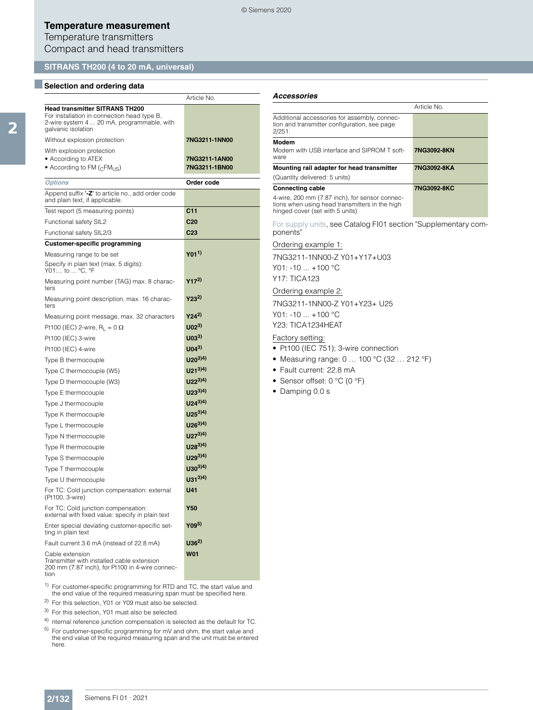Article No.

# **Temperature measurement**

Temperature transmitters Compact and head transmitters

### **SITRANS TH200 (4 to 20 mA, universal)**

#### ■**Selection and ordering data**

| <b>Head transmitter SITRANS TH200</b><br>For installation in connection head type B,<br>2-wire system 4  20 mA, programmable, with<br>galvanic isolation |                           |
|----------------------------------------------------------------------------------------------------------------------------------------------------------|---------------------------|
| Without explosion protection                                                                                                                             | 7NG3211-1NN00             |
| With explosion protection                                                                                                                                |                           |
| • According to ATEX                                                                                                                                      | 7NG3211-1AN00             |
| • According to FM ( <sub>C</sub> FM <sub>US</sub> )                                                                                                      | 7NG3211-1BN00             |
| <b>Options</b>                                                                                                                                           | Order code                |
| Append suffix "-Z" to article no., add order code<br>and plain text, if applicable.                                                                      |                           |
| Test report (5 measuring points)                                                                                                                         | C11                       |
| Functional safety SIL2                                                                                                                                   | C <sub>20</sub>           |
| Functional safety SIL2/3                                                                                                                                 | C <sub>23</sub>           |
| <b>Customer-specific programming</b>                                                                                                                     |                           |
| Measuring range to be set                                                                                                                                | Y01 <sup>1)</sup>         |
| Specify in plain text (max. 5 digits):<br>Y01: to  °C, °F                                                                                                |                           |
| Measuring point number (TAG) max. 8 charac-<br>ters                                                                                                      | $Y17^{2}$                 |
| Measuring point description, max. 16 charac-<br>ters                                                                                                     | $Y23^{2}$                 |
| Measuring point message, max. 32 characters                                                                                                              | $Y24^{2}$                 |
| Pt100 (IEC) 2-wire, $R_1 = 0 \Omega$                                                                                                                     | 1102 <sup>3</sup>         |
| Pt100 (IEC) 3-wire                                                                                                                                       | $U(03^3)$                 |
| Pt100 (IEC) 4-wire                                                                                                                                       | $U(04^3)$                 |
| Type B thermocouple                                                                                                                                      | $U20^{3})$ <sup>4</sup> ) |
| Type C thermocouple (W5)                                                                                                                                 | $U21^{3)}$                |
| Type D thermocouple (W3)                                                                                                                                 | $U22^{3})^{4}$            |
| Type E thermocouple                                                                                                                                      | $U23^{3})^{4}$            |
| Type J thermocouple                                                                                                                                      | $U24^{3})^{4}$            |
| Type K thermocouple                                                                                                                                      | $U25^{3})^{4}$            |
| Type L thermocouple                                                                                                                                      | $U26^{3}^{4}$             |
| Type N thermocouple                                                                                                                                      | $U27^{3})^{4}$            |
| Type R thermocouple                                                                                                                                      | $U28^{3})^{4}$            |
| Type S thermocouple                                                                                                                                      | $U29^{3)}^{(4)}$          |
| Type T thermocouple                                                                                                                                      | $U30^{3}$ <sup>4</sup> )  |
| Type U thermocouple                                                                                                                                      | $U31^{3})$ <sup>4</sup> ) |
| For TC: Cold junction compensation: external<br>(Pt100, 3-wire)                                                                                          | U41                       |
| For TC: Cold junction compensation:<br>external with fixed value: specify in plain text                                                                  | Y50                       |
| Enter special deviating customer-specific set-<br>ting in plain text                                                                                     | Y09 <sup>5)</sup>         |
| Fault current 3.6 mA (instead of 22.8 mA)                                                                                                                | $U36^{2}$                 |
| Cable extension<br>Transmitter with installed cable extension<br>200 mm (7.87 inch), for Pt100 in 4-wire connec-<br>tion                                 | <b>W01</b>                |
|                                                                                                                                                          |                           |

<sup>1)</sup> For customer-specific programming for RTD and TC, the start value and the end value of the required measuring span must be specified here.

2) For this selection, Y01 or Y09 must also be selected.

3) For this selection, Y01 must also be selected.

4) nternal reference junction compensation is selected as the default for TC.

5) For customer-specific programming for mV and ohm, the start value and the end value of the required measuring span and the unit must be entered here.

#### *Accessories*

|                                                                                                                                                                | Article No. |
|----------------------------------------------------------------------------------------------------------------------------------------------------------------|-------------|
| Additional accessories for assembly, connec-<br>tion and transmitter configuration, see page<br>2/251.                                                         |             |
| Modem<br>Modem with USB interface and SIPROM T soft-<br>ware                                                                                                   | 7NG3092-8KN |
| Mounting rail adapter for head transmitter<br>(Quantity delivered: 5 units)                                                                                    | 7NG3092-8KA |
| <b>Connecting cable</b><br>4-wire, 200 mm (7.87 inch), for sensor connec-<br>tions when using head transmitters in the high<br>hinged cover (set with 5 units) | 7NG3092-8KC |

For supply units, see Catalog FI01 section "Supplementary components"

#### Ordering example 1:

7NG3211-1NN00-Z Y01+Y17+U03 Y01: -10 ... +100 °C Y17: TICA123

Ordering example 2:

7NG3211-1NN00-Z Y01+Y23+ U25 Y01: -10 ... +100 °C Y23: TICA1234HEAT

#### Factory setting:

- Pt100 (IEC 751); 3-wire connection
- Measuring range: 0 … 100 °C (32 … 212 °F)
- Fault current: 22.8 mA
- Sensor offset: 0 °C (0 °F)
- Damping 0.0 s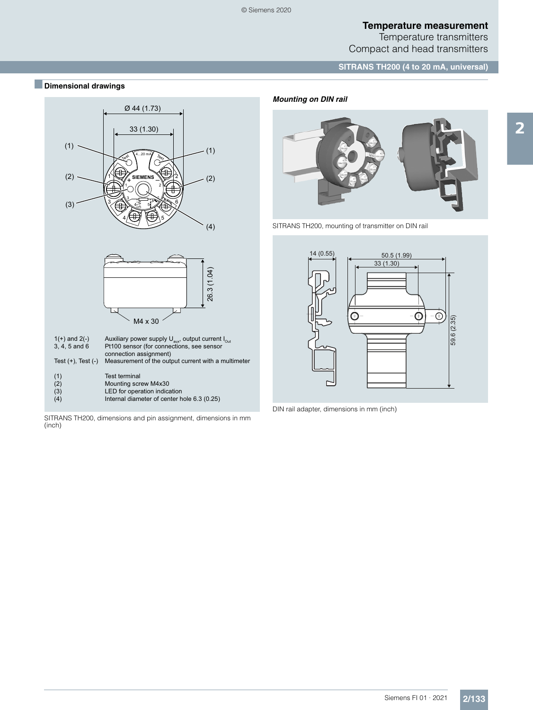Temperature transmitters Compact and head transmitters

**SITRANS TH200 (4 to 20 mA, universal)**

# ■**Dimensional drawings**



SITRANS TH200, dimensions and pin assignment, dimensions in mm (inch)





SITRANS TH200, mounting of transmitter on DIN rail



DIN rail adapter, dimensions in mm (inch)